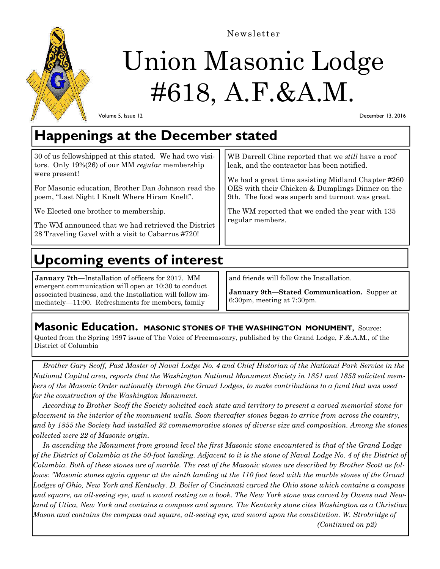

Newsletter

# Union Masonic Lodge #618, A.F.&A.M.

Volume 5, Issue 12

December 13, 2016

## **Happenings at the December stated**

| 30 of us fellowshipped at this stated. We had two visi-<br>tors. Only $19\%(26)$ of our MM regular membership<br>were present!<br>For Masonic education, Brother Dan Johnson read the<br>poem, "Last Night I Knelt Where Hiram Knelt".<br>We Elected one brother to membership.<br>The WM announced that we had retrieved the District<br>28 Traveling Gavel with a visit to Cabarrus #720! | WB Darrell Cline reported that we <i>still</i> have a roof<br>leak, and the contractor has been notified.<br>We had a great time assisting Midland Chapter #260<br>OES with their Chicken & Dumplings Dinner on the<br>9th. The food was superb and turnout was great.<br>The WM reported that we ended the year with 135<br>regular members. |
|---------------------------------------------------------------------------------------------------------------------------------------------------------------------------------------------------------------------------------------------------------------------------------------------------------------------------------------------------------------------------------------------|-----------------------------------------------------------------------------------------------------------------------------------------------------------------------------------------------------------------------------------------------------------------------------------------------------------------------------------------------|
|---------------------------------------------------------------------------------------------------------------------------------------------------------------------------------------------------------------------------------------------------------------------------------------------------------------------------------------------------------------------------------------------|-----------------------------------------------------------------------------------------------------------------------------------------------------------------------------------------------------------------------------------------------------------------------------------------------------------------------------------------------|

# **Upcoming events of interest**

**January 7th—**Installation of officers for 2017. MM emergent communication will open at 10:30 to conduct associated business, and the Installation will follow immediately—11:00. Refreshments for members, family

and friends will follow the Installation.

**January 9th—Stated Communication.** Supper at 6:30pm, meeting at 7:30pm.

### **Masonic Education.** MASONIC STONES OF THE WASHINGTON MONUMENT, Source:

Quoted from the Spring 1997 issue of The Voice of Freemasonry, published by the Grand Lodge, F.&.A.M., of the District of Columbia

 *Brother Gary Scoff, Past Master of Naval Lodge No. 4 and Chief Historian of the National Park Service in the National Capital area, reports that the Washington National Monument Society in 1851 and 1853 solicited members of the Masonic Order nationally through the Grand Lodges, to make contributions to a fund that was used for the construction of the Washington Monument.* 

 *According to Brother Scoff the Society solicited each state and territory to present a carved memorial stone for placement in the interior of the monument walls. Soon thereafter stones began to arrive from across the country, and by 1855 the Society had installed 92 commemorative stones of diverse size and composition. Among the stones collected were 22 of Masonic origin.* 

 *In ascending the Monument from ground level the first Masonic stone encountered is that of the Grand Lodge of the District of Columbia at the 50-foot landing. Adjacent to it is the stone of Naval Lodge No. 4 of the District of Columbia. Both of these stones are of marble. The rest of the Masonic stones are described by Brother Scott as follows: "Masonic stones again appear at the ninth landing at the 110 foot level with the marble stones of the Grand Lodges of Ohio, New York and Kentucky. D. Boiler of Cincinnati carved the Ohio stone which contains a compass and square, an all-seeing eye, and a sword resting on a book. The New York stone was carved by Owens and Newland of Utica, New York and contains a compass and square. The Kentucky stone cites Washington as a Christian Mason and contains the compass and square, all-seeing eye, and sword upon the constitution. W. Strobridge of (Continued on p2)*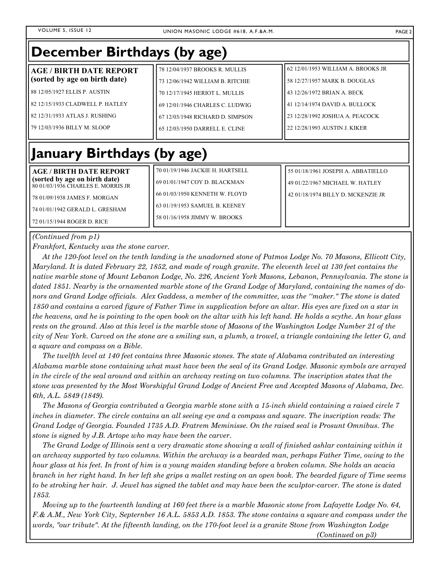| December Birthdays (by age)                                         |                                  |                                    |  |  |  |
|---------------------------------------------------------------------|----------------------------------|------------------------------------|--|--|--|
| <b>AGE / BIRTH DATE REPORT</b>                                      | 78 12/04/1937 BROOKS R. MULLIS   | 62 12/01/1953 WILLIAM A. BROOKS JR |  |  |  |
| (sorted by age on birth date)                                       | 73 12/06/1942 WILLIAM B. RITCHIE | 58 12/27/1957 MARK B. DOUGLAS      |  |  |  |
| 88 12/05/1927 ELLIS P. AUSTIN                                       | 70 12/17/1945 HERIOT L. MULLIS   | 43 12/26/1972 BRIAN A. BECK        |  |  |  |
| 82 12/15/1933 CLADWELL P. HATLEY                                    | 69 12/01/1946 CHARLES C. LUDWIG  | 41 12/14/1974 DAVID A. BULLOCK     |  |  |  |
| 82 12/31/1933 ATLAS J. RUSHING                                      | 67 12/03/1948 RICHARD D. SIMPSON | 23 12/28/1992 JOSHUA A. PEACOCK    |  |  |  |
| 79 12/03/1936 BILLY M. SLOOP                                        | 65 12/03/1950 DARRELL E. CLINE   | 22 12/28/1993 AUSTIN J. KIKER      |  |  |  |
|                                                                     |                                  |                                    |  |  |  |
| <b>January Birthdays (by age)</b>                                   |                                  |                                    |  |  |  |
| <b>AGE / BIRTH DATE REPORT</b>                                      | 70 01/19/1946 JACKIE H. HARTSELL | 55 01/18/1961 JOSEPH A. ABBATIELLO |  |  |  |
| (sorted by age on birth date)<br>80 01/03/1936 CHARLES E. MORRIS JR | 69 01/01/1947 COY D. BLACKMAN    | 49 01/22/1967 MICHAEL W. HATLEY    |  |  |  |
| 78 01/09/1938 JAMES F. MORGAN                                       | 66 01/03/1950 KENNETH W. FLOYD   | 42 01/18/1974 BILLY D. MCKENZIE JR |  |  |  |
| 74 01/01/1942 GERALD L. GRESHAM                                     | 63 01/19/1953 SAMUEL B. KEENEY   |                                    |  |  |  |
| 72 01/15/1944 ROGER D. RICE                                         | 58 01/16/1958 JIMMY W. BROOKS    |                                    |  |  |  |

#### *(Continued from p1)*

*Frankfort, Kentucky was the stone carver.* 

 *At the 120-foot level on the tenth landing is the unadorned stone of Patmos Lodge No. 70 Masons, Ellicott City, Maryland. It is dated February 22, 1852, and made of rough granite. The eleventh level at 130 feet contains the native marble stone of Mount Lebanon Lodge, No. 226, Ancient York Masons, Lebanon, Pennsylvania. The stone is dated 1851. Nearby is the ornamented marble stone of the Grand Lodge of Maryland, containing the names of donors and Grand Lodge officials. Alex Gaddess, a member of the committee, was the ''maker." The stone is dated 1850 and contains a carved figure of Father Time in supplication before an altar. His eyes are fixed on a star in the heavens, and he is pointing to the open book on the altar with his left hand. He holds a scythe. An hour glass rests on the ground. Also at this level is the marble stone of Masons of the Washington Lodge Number 21 of the city of New York. Carved on the stone are a smiling sun, a plumb, a trowel, a triangle containing the letter G, and a square and compass on a Bible.* 

 *The twelfth level at 140 feet contains three Masonic stones. The state of Alabama contributed an interesting Alabama marble stone containing what must have been the seal of its Grand Lodge. Masonic symbols are arrayed in the circle of the seal around and within an archway resting on two columns. The inscription states that the stone was presented by the Most Worshipful Grand Lodge of Ancient Free and Accepted Masons of Alabama, Dec. 6th, A.L. 5849 (1849).* 

 *The Masons of Georgia contributed a Georgia marble stone with a 15-inch shield containing a raised circle 7*  inches in diameter. The circle contains an all seeing eye and a compass and square. The inscription reads: The *Grand Lodge of Georgia. Founded 1735 A.D. Fratrem Meminisse. On the raised seal is Prosunt Omnibus. The stone is signed by J.B. Artope who may have been the carver.* 

 *The Grand Lodge of Illinois sent a very dramatic stone showing a wall of finished ashlar containing within it an archway supported by two columns. Within the archway is a bearded man, perhaps Father Time, owing to the hour glass at his feet. In front of him is a young maiden standing before a broken column. She holds an acacia branch in her right hand. In her left she grips a mallet resting on an open book. The bearded figure of Time seems to be stroking her hair. J. Jewel has signed the tablet and may have been the sculptor-carver. The stone is dated 1853.* 

 *Moving up to the fourteenth landing at 160 feet there is a marble Masonic stone from Lafayette Lodge No. 64, F.& A.M., New York City, Septernber 16 A.L. 5853 A.D. 1853. The stone contains a square and compass under the words, "our tribute". At the fifteenth landing, on the 170-foot level is a granite Stone from Washington Lodge (Continued on p3)*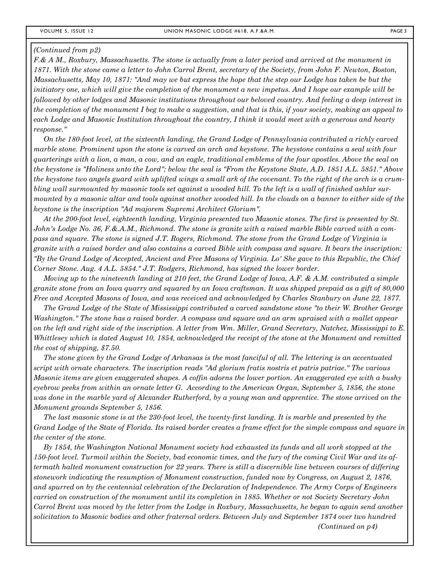*F.& A M., Roxbury, Massachusetts. The stone is actually from a later period and arrived at the monument in 1871. With the stone came a letter to John Carrol Brent, secretary of the Society, from John F. Newton, Boston, Massachusetts, May 10, 1871: "And may we but express the hope that the step our Lodge has taken be but the initiatory one, which will give the completion of the monument a new impetus. And I hope our example will be followed by other lodges and Masonic institutions throughout our beloved country. And feeling a deep interest in the completion of the monument I beg to make a suggestion, and that is this, if your society, making an appeal to each Lodge and Masonic Institution throughout the country, I think it would meet with a generous and hearty response."* 

 *On the 180-foot level, at the sixteenth landing, the Grand Lodge of Pennsylvania contributed a richly carved marble stone. Prominent upon the stone is carved an arch and keystone. The keystone contains a seal with four quarterings with a lion, a man, a cow, and an eagle, traditional emblems of the four apostles. Above the seal on the keystone is "Holiness unto the Lord"; below the seal is "From the Keystone State, A.D. 1851 A.L. 5851." Above the keystone two angels guard with uplifted wings a small ark of the covenant. To the right of the arch is a crumbling wall surmounted by masonic tools set against a wooded hill. To the left is a wall of finished ashlar surmounted by a masonic altar and tools against another wooded hill. In the clouds on a banner to either side of the keystone is the inscription "Ad majorem Supremi Architect Glorium".* 

 *At the 200-foot level, eighteenth landing, Virginia presented two Masonic stones. The first is presented by St. John's Lodge No. 36, F.&.A.M., Richmond. The stone is granite with a raised marble Bible carved with a compass and square. The stone is signed J.T. Rogers, Richmond. The stone from the Grand Lodge of Virginia is granite with a raised border and also contains a carved Bible with compass and square. It bears the inscription: "By the Grand Lodge of Accepted, Ancient and Free Masons of Virginia. Lo' She gave to this Republic, the Chief Corner Stone. Aug. 4 A.L. 5854." J.T. Rodgers, Richmond, has signed the lower border.* 

 *Moving up to the nineteenth landing at 210 feet, the Grand Lodge of Iowa, A.F. & A.M. contributed a simple granite stone from an Iowa quarry and squared by an Iowa craftsman. It was shipped prepaid as a gift of 80,000 Free and Accepted Masons of Iowa, and was received and acknowledged by Charles Stanbury on June 22, 1877.* 

 *The Grand Lodge of the State of Mississippi contributed a carved sandstone stone "to their W. Brother George Washington." The stone has a raised border. A compass and square and an arm upraised with a mallet appear on the left and right side of the inscription. A letter from Wm. Miller, Grand Secretary, Natchez, Mississippi to E. Whittlesey which is dated August 10, 1854, acknowledged the receipt of the stone at the Monument and remitted the cost of shipping, \$7.50.* 

 *The stone given by the Grand Lodge of Arkansas is the most fanciful of all. The lettering is an accentuated script with ornate characters. The inscription reads "Ad glorium fratis nostris et patris patriae." The various Masonic items are given exaggerated shapes. A coffin adorns the lower portion. An exaggerated eye with a bushy eyebrow peeks from within an ornate letter G. According to the American Organ, September 5, 1856, the stone was done in the marble yard of Alexander Rutherford, by a young man and apprentice. The stone arrived on the Monument grounds September 5, 1856.* 

 *The last masonic stone is at the 230-foot level, the twenty-first landing. It is marble and presented by the Grand Lodge of the State of Florida. Its raised border creates a frame effect for the simple compass and square in the center of the stone.* 

 *By 1854, the Washington National Monument society had exhausted its funds and all work stopped at the 150-foot level. Turmoil within the Society, bad economic times, and the fury of the coming Civil War and its aftermath halted monument construction for 22 years. There is still a discernible line between courses of differing stonework indicating the resumption of Monument construction, funded now by Congress, on August 2, 1876, and spurred on by the centennial celebration of the Declaration of Independence. The Army Corps of Engineers carried on construction of the monument until its completion in 1885. Whether or not Society Secretary John Carrol Brent was moved by the letter from the Lodge in Roxbury, Massachusetts, he began to again send another solicitation to Masonic bodies and other fraternal orders. Between July and September 1874 over two hundred (Continued on p4)*